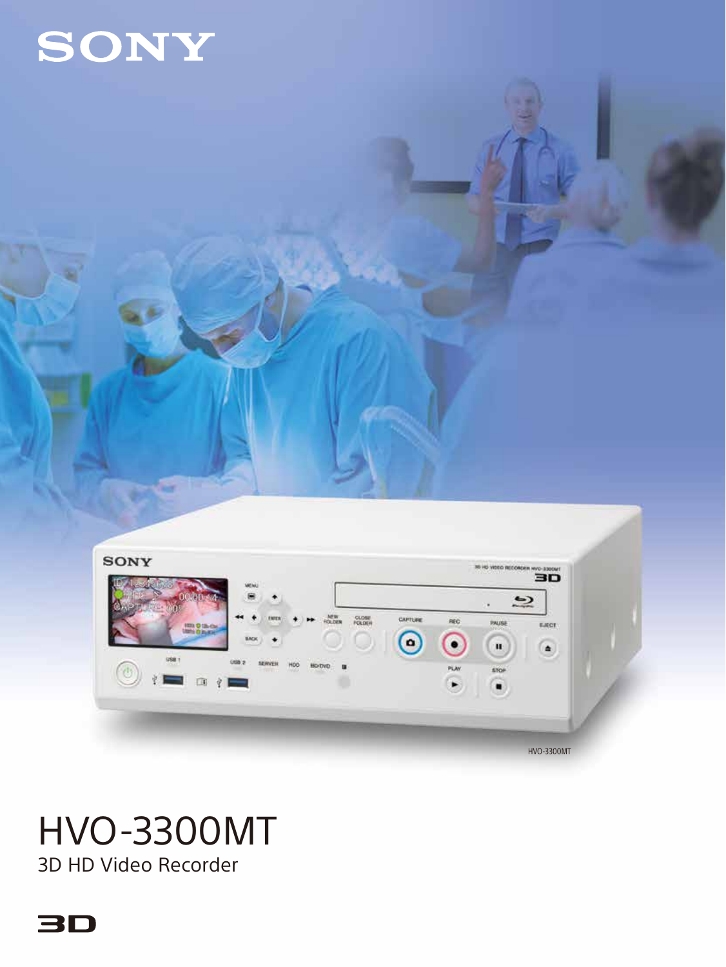



# HVO-3300MT

3D HD Video Recorder

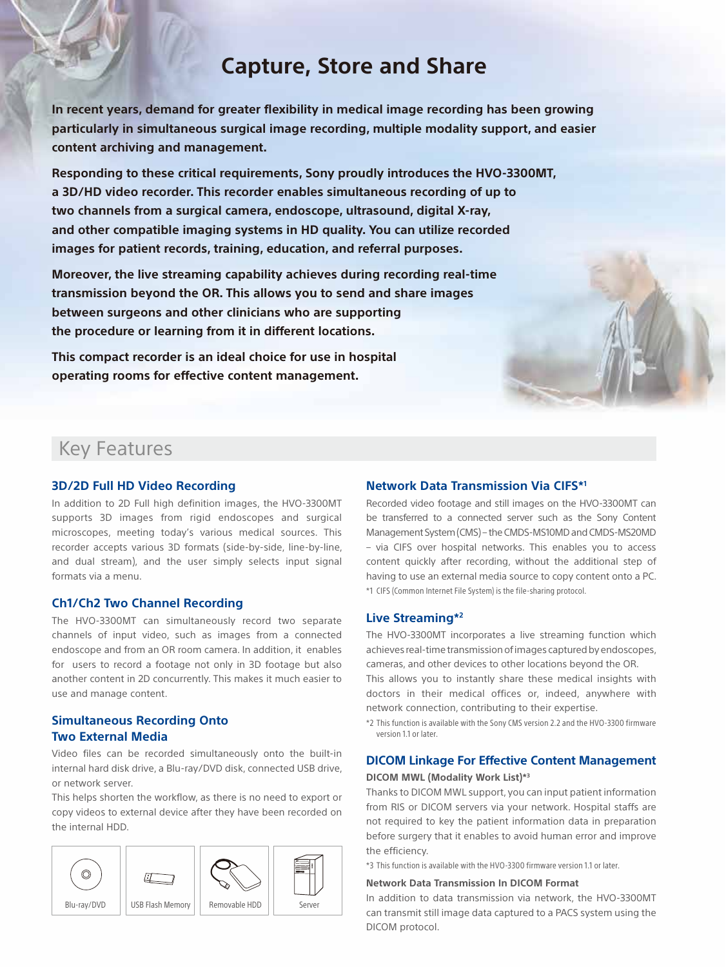# **Capture, Store and Share**

**In recent years, demand for greater flexibility in medical image recording has been growing particularly in simultaneous surgical image recording, multiple modality support, and easier content archiving and management.**

**Responding to these critical requirements, Sony proudly introduces the HVO-3300MT, a 3D/HD video recorder. This recorder enables simultaneous recording of up to two channels from a surgical camera, endoscope, ultrasound, digital X-ray, and other compatible imaging systems in HD quality. You can utilize recorded images for patient records, training, education, and referral purposes.** 

**Moreover, the live streaming capability achieves during recording real-time transmission beyond the OR. This allows you to send and share images between surgeons and other clinicians who are supporting the procedure or learning from it in different locations.**

**This compact recorder is an ideal choice for use in hospital operating rooms for effective content management.**

#### **Network Data Transmission Via CIFS\*1**

Recorded video footage and still images on the HVO-3300MT can be transferred to a connected server such as the Sony Content Management System (CMS) – the CMDS-MS10MD and CMDS-MS20MD – via CIFS over hospital networks. This enables you to access content quickly after recording, without the additional step of having to use an external media source to copy content onto a PC. \*1 CIFS (Common Internet File System) is the file-sharing protocol.

#### **Live Streaming\*2**

The HVO-3300MT incorporates a live streaming function which achieves real-time transmission of images captured by endoscopes, cameras, and other devices to other locations beyond the OR.

This allows you to instantly share these medical insights with doctors in their medical offices or, indeed, anywhere with network connection, contributing to their expertise.

\*2 This function is available with the Sony CMS version 2.2 and the HVO-3300 firmware version 1.1 or later.

# **DICOM Linkage For Effective Content Management**

#### **DICOM MWL (Modality Work List)\*3**

Thanks to DICOM MWL support, you can input patient information from RIS or DICOM servers via your network. Hospital staffs are not required to key the patient information data in preparation before surgery that it enables to avoid human error and improve the efficiency.

\*3 This function is available with the HVO-3300 firmware version 1.1 or later.

#### **Network Data Transmission In DICOM Format**

In addition to data transmission via network, the HVO-3300MT can transmit still image data captured to a PACS system using the DICOM protocol.

# Key Features

#### **3D/2D Full HD Video Recording**

In addition to 2D Full high definition images, the HVO-3300MT supports 3D images from rigid endoscopes and surgical microscopes, meeting today's various medical sources. This recorder accepts various 3D formats (side-by-side, line-by-line, and dual stream), and the user simply selects input signal formats via a menu.

#### **Ch1/Ch2 Two Channel Recording**

The HVO-3300MT can simultaneously record two separate channels of input video, such as images from a connected endoscope and from an OR room camera. In addition, it enables for users to record a footage not only in 3D footage but also another content in 2D concurrently. This makes it much easier to use and manage content.

#### **Simultaneous Recording Onto Two External Media**

Video files can be recorded simultaneously onto the built-in internal hard disk drive, a Blu-ray/DVD disk, connected USB drive, or network server.

This helps shorten the workflow, as there is no need to export or copy videos to external device after they have been recorded on the internal HDD.

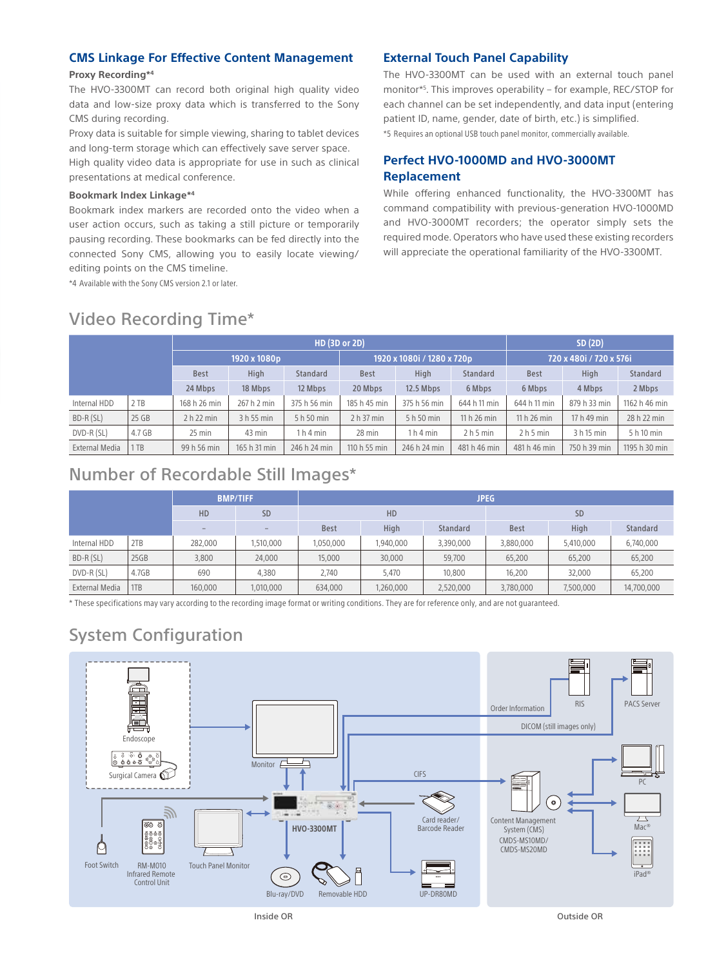#### **CMS Linkage For Effective Content Management**

#### **Proxy Recording\*4**

The HVO-3300MT can record both original high quality video data and low-size proxy data which is transferred to the Sony CMS during recording.

Proxy data is suitable for simple viewing, sharing to tablet devices and long-term storage which can effectively save server space.

High quality video data is appropriate for use in such as clinical presentations at medical conference.

#### **Bookmark Index Linkage\*4**

Bookmark index markers are recorded onto the video when a user action occurs, such as taking a still picture or temporarily pausing recording. These bookmarks can be fed directly into the connected Sony CMS, allowing you to easily locate viewing/ editing points on the CMS timeline.

\*4 Available with the Sony CMS version 2.1 or later.

#### **External Touch Panel Capability**

The HVO-3300MT can be used with an external touch panel monitor\*5 . This improves operability – for example, REC/STOP for each channel can be set independently, and data input (entering patient ID, name, gender, date of birth, etc.) is simplified. \*5 Requires an optional USB touch panel monitor, commercially available.

#### **Perfect HVO-1000MD and HVO-3000MT Replacement**

While offering enhanced functionality, the HVO-3300MT has command compatibility with previous-generation HVO-1000MD and HVO-3000MT recorders; the operator simply sets the required mode. Operators who have used these existing recorders will appreciate the operational familiarity of the HVO-3300MT.

### Video Recording Time\*

|                |        | <b>HD (3D or 2D)</b> |              |                                 |                              |                                 |                                 |                                        | SD(2D)       |                 |  |
|----------------|--------|----------------------|--------------|---------------------------------|------------------------------|---------------------------------|---------------------------------|----------------------------------------|--------------|-----------------|--|
|                |        | 1920 x 1080p         |              |                                 | 1920 x 1080i / 1280 x 720p , |                                 |                                 | <sup>1</sup> 720 x 480i / 720 x 576i . |              |                 |  |
|                |        | <b>Best</b>          | <b>High</b>  | <b>Standard</b>                 | <b>Best</b>                  | High                            | Standard                        | <b>Best</b>                            | <b>High</b>  | <b>Standard</b> |  |
|                |        | 24 Mbps              | 18 Mbps      | 12 Mbps                         | 20 Mbps                      | 12.5 Mbps                       | 6 Mbps                          | 6 Mbps                                 | 4 Mbps       | 2 Mbps          |  |
| Internal HDD   | 2 TB   | 168 h 26 min         | 267 h 2 min  | 375 h 56 min                    | 185 h 45 min                 | 375 h 56 min                    | 644 h 11 min                    | 644 h 11 min                           | 879 h 33 min | 1162 h 46 min   |  |
| BD-R(SL)       | 25 GB  | 2 h 22 min           | 3 h 55 min   | 5 h 50 min                      | 2 h 37 min                   | 5 h 50 min                      | 11 h 26 min                     | 11 h 26 min                            | 17 h 49 min  | 28 h 22 min     |  |
| DVD-R(SL)      | 4.7 GB | $25$ min             | 43 min       | 1 <sub>h</sub> 4 <sub>min</sub> | 28 min                       | 1 <sub>h</sub> 4 <sub>min</sub> | 2 <sub>h</sub> 5 <sub>min</sub> | 2 <sub>h</sub> 5 <sub>min</sub>        | 3 h 15 min   | 5 h 10 min      |  |
| External Media | 1TB    | 99 h 56 min          | 165 h 31 min | 246 h 24 min                    | 110 h 55 min                 | 246 h 24 min                    | 481 h 46 min                    | 481 h 46 min                           | 750 h 39 min | 1195 h 30 min   |  |

### Number of Recordable Still Images\*

|                |       | <b>BMP/TIFF</b> |                          | <b>JPEG</b> |           |                 |             |           |                 |  |
|----------------|-------|-----------------|--------------------------|-------------|-----------|-----------------|-------------|-----------|-----------------|--|
|                |       | HD              | <b>SD</b>                | HD          |           |                 | <b>SD</b>   |           |                 |  |
|                |       | $\sim$          | $\overline{\phantom{a}}$ | <b>Best</b> | High      | <b>Standard</b> | <b>Best</b> | High      | <b>Standard</b> |  |
| Internal HDD   | 2TB   | 282,000         | 1,510,000                | 1,050,000   | 1,940,000 | 3,390,000       | 3,880,000   | 5,410,000 | 6,740,000       |  |
| BD-R(SL)       | 25GB  | 3,800           | 24,000                   | 15,000      | 30,000    | 59,700          | 65,200      | 65,200    | 65,200          |  |
| DVD-R (SL)     | 4.7GB | 690             | 4,380                    | 2.740       | 5.470     | 10,800          | 16,200      | 32.000    | 65,200          |  |
| External Media | 1TB   | 160,000         | 1,010,000                | 634,000     | 1,260,000 | 2,520,000       | 3,780,000   | 7,500,000 | 14,700,000      |  |

\* These specifications may vary according to the recording image format or writing conditions. They are for reference only, and are not guaranteed.

# System Configuration